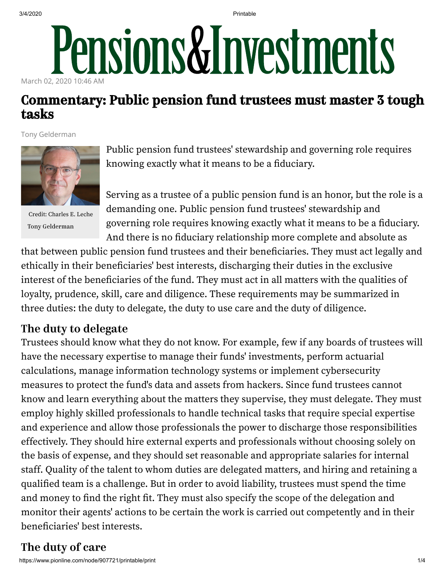# 3/4/2020 Printable Pensions&Investments March 02, 2020 10:46 AM

# Commentary: Public pension fund trustees must master 3 tough tasks

Tony Gelderman



Credit: Charles E. Leche Tony Gelderman

Public pension fund trustees' stewardship and governing role requires knowing exactly what it means to be a fiduciary.

Serving as a trustee of a public pension fund is an honor, but the role is a demanding one. Public pension fund trustees' stewardship and governing role requires knowing exactly what it means to be a fiduciary. And there is no fiduciary relationship more complete and absolute as

that between public pension fund trustees and their beneficiaries. They must act legally and ethically in their beneficiaries' best interests, discharging their duties in the exclusive interest of the beneficiaries of the fund. They must act in all matters with the qualities of loyalty, prudence, skill, care and diligence. These requirements may be summarized in three duties: the duty to delegate, the duty to use care and the duty of diligence.

#### The duty to delegate

Trustees should know what they do not know. For example, few if any boards of trustees will have the necessary expertise to manage their funds' investments, perform actuarial calculations, manage information technology systems or implement cybersecurity measures to protect the fund's data and assets from hackers. Since fund trustees cannot know and learn everything about the matters they supervise, they must delegate. They must employ highly skilled professionals to handle technical tasks that require special expertise and experience and allow those professionals the power to discharge those responsibilities effectively. They should hire external experts and professionals without choosing solely on the basis of expense, and they should set reasonable and appropriate salaries for internal staff. Quality of the talent to whom duties are delegated matters, and hiring and retaining a qualified team is a challenge. But in order to avoid liability, trustees must spend the time and money to find the right fit. They must also specify the scope of the delegation and monitor their agents' actions to be certain the work is carried out competently and in their beneficiaries' best interests.

## The duty of care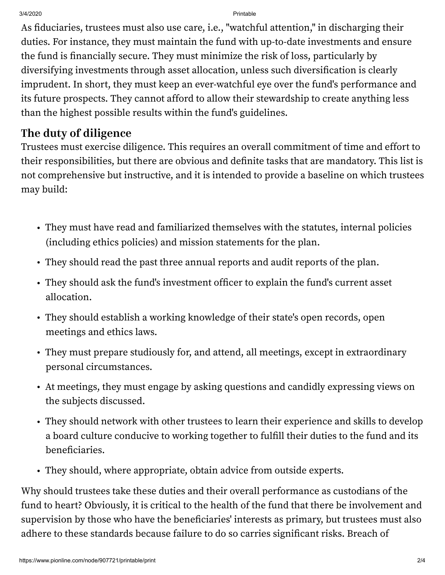3/4/2020 Printable

As fiduciaries, trustees must also use care, i.e., "watchful attention," in discharging their duties. For instance, they must maintain the fund with up-to-date investments and ensure the fund is financially secure. They must minimize the risk of loss, particularly by diversifying investments through asset allocation, unless such diversification is clearly imprudent. In short, they must keep an ever-watchful eye over the fund's performance and its future prospects. They cannot afford to allow their stewardship to create anything less than the highest possible results within the fund's guidelines.

## The duty of diligence

Trustees must exercise diligence. This requires an overall commitment of time and effort to their responsibilities, but there are obvious and definite tasks that are mandatory. This list is not comprehensive but instructive, and it is intended to provide a baseline on which trustees may build:

- They must have read and familiarized themselves with the statutes, internal policies (including ethics policies) and mission statements for the plan.
- They should read the past three annual reports and audit reports of the plan.
- $\bm{\cdot}\,$  They should ask the fund's investment officer to explain the fund's current asset allocation.
- They should establish a working knowledge of their state's open records, open meetings and ethics laws.
- They must prepare studiously for, and attend, all meetings, except in extraordinary personal circumstances.
- At meetings, they must engage by asking questions and candidly expressing views on the subjects discussed.
- They should network with other trustees to learn their experience and skills to develop a board culture conducive to working together to fulfill their duties to the fund and its beneficiaries.
- They should, where appropriate, obtain advice from outside experts.

Why should trustees take these duties and their overall performance as custodians of the fund to heart? Obviously, it is critical to the health of the fund that there be involvement and supervision by those who have the beneficiaries' interests as primary, but trustees must also adhere to these standards because failure to do so carries significant risks. Breach of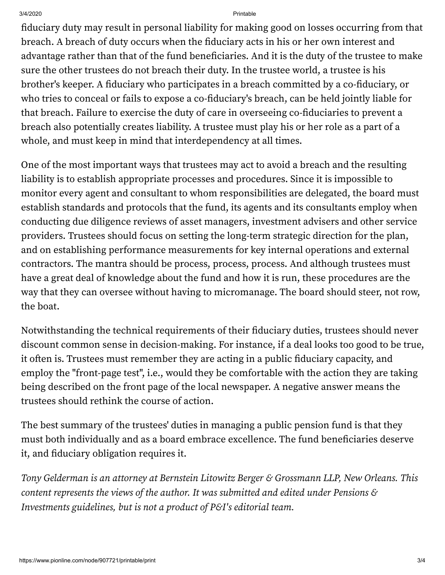#### 3/4/2020 Printable

fiduciary duty may result in personal liability for making good on losses occurring from that breach. A breach of duty occurs when the fiduciary acts in his or her own interest and advantage rather than that of the fund beneficiaries. And it is the duty of the trustee to make sure the other trustees do not breach their duty. In the trustee world, a trustee is his brother's keeper. A fiduciary who participates in a breach committed by a co-fiduciary, or who tries to conceal or fails to expose a co-fiduciary's breach, can be held jointly liable for that breach. Failure to exercise the duty of care in overseeing co-fiduciaries to prevent a breach also potentially creates liability. A trustee must play his or her role as a part of a whole, and must keep in mind that interdependency at all times.

One of the most important ways that trustees may act to avoid a breach and the resulting liability is to establish appropriate processes and procedures. Since it is impossible to monitor every agent and consultant to whom responsibilities are delegated, the board must establish standards and protocols that the fund, its agents and its consultants employ when conducting due diligence reviews of asset managers, investment advisers and other service providers. Trustees should focus on setting the long-term strategic direction for the plan, and on establishing performance measurements for key internal operations and external contractors. The mantra should be process, process, process. And although trustees must have a great deal of knowledge about the fund and how it is run, these procedures are the way that they can oversee without having to micromanage. The board should steer, not row, the boat.

Notwithstanding the technical requirements of their fiduciary duties, trustees should never discount common sense in decision-making. For instance, if a deal looks too good to be true, it often is. Trustees must remember they are acting in a public fiduciary capacity, and employ the "front-page test", i.e., would they be comfortable with the action they are taking being described on the front page of the local newspaper. A negative answer means the trustees should rethink the course of action.

The best summary of the trustees' duties in managing a public pension fund is that they must both individually and as a board embrace excellence. The fund beneficiaries deserve it, and fiduciary obligation requires it.

*Tony Gelderman is an attorney at Bernstein Litowitz Berger & Grossmann LLP, New Orleans. This content represents the views of the author. It was submitted and edited under Pensions & Investments guidelines, but is not a product of P&I's editorial team.*